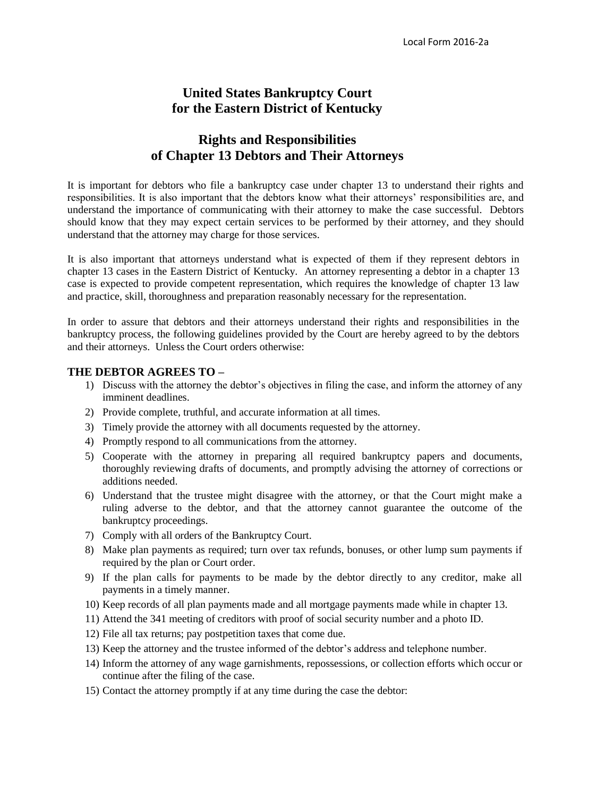# **United States Bankruptcy Court for the Eastern District of Kentucky**

## **Rights and Responsibilities of Chapter 13 Debtors and Their Attorneys**

It is important for debtors who file a bankruptcy case under chapter 13 to understand their rights and responsibilities. It is also important that the debtors know what their attorneys' responsibilities are, and understand the importance of communicating with their attorney to make the case successful. Debtors should know that they may expect certain services to be performed by their attorney, and they should understand that the attorney may charge for those services.

It is also important that attorneys understand what is expected of them if they represent debtors in chapter 13 cases in the Eastern District of Kentucky. An attorney representing a debtor in a chapter 13 case is expected to provide competent representation, which requires the knowledge of chapter 13 law and practice, skill, thoroughness and preparation reasonably necessary for the representation.

In order to assure that debtors and their attorneys understand their rights and responsibilities in the bankruptcy process, the following guidelines provided by the Court are hereby agreed to by the debtors and their attorneys. Unless the Court orders otherwise:

#### **THE DEBTOR AGREES TO –**

- 1) Discuss with the attorney the debtor's objectives in filing the case, and inform the attorney of any imminent deadlines.
- 2) Provide complete, truthful, and accurate information at all times.
- 3) Timely provide the attorney with all documents requested by the attorney.
- 4) Promptly respond to all communications from the attorney.
- 5) Cooperate with the attorney in preparing all required bankruptcy papers and documents, thoroughly reviewing drafts of documents, and promptly advising the attorney of corrections or additions needed.
- 6) Understand that the trustee might disagree with the attorney, or that the Court might make a ruling adverse to the debtor, and that the attorney cannot guarantee the outcome of the bankruptcy proceedings.
- 7) Comply with all orders of the Bankruptcy Court.
- 8) Make plan payments as required; turn over tax refunds, bonuses, or other lump sum payments if required by the plan or Court order.
- 9) If the plan calls for payments to be made by the debtor directly to any creditor, make all payments in a timely manner.
- 10) Keep records of all plan payments made and all mortgage payments made while in chapter 13.
- 11) Attend the 341 meeting of creditors with proof of social security number and a photo ID.
- 12) File all tax returns; pay postpetition taxes that come due.
- 13) Keep the attorney and the trustee informed of the debtor's address and telephone number.
- 14) Inform the attorney of any wage garnishments, repossessions, or collection efforts which occur or continue after the filing of the case.
- 15) Contact the attorney promptly if at any time during the case the debtor: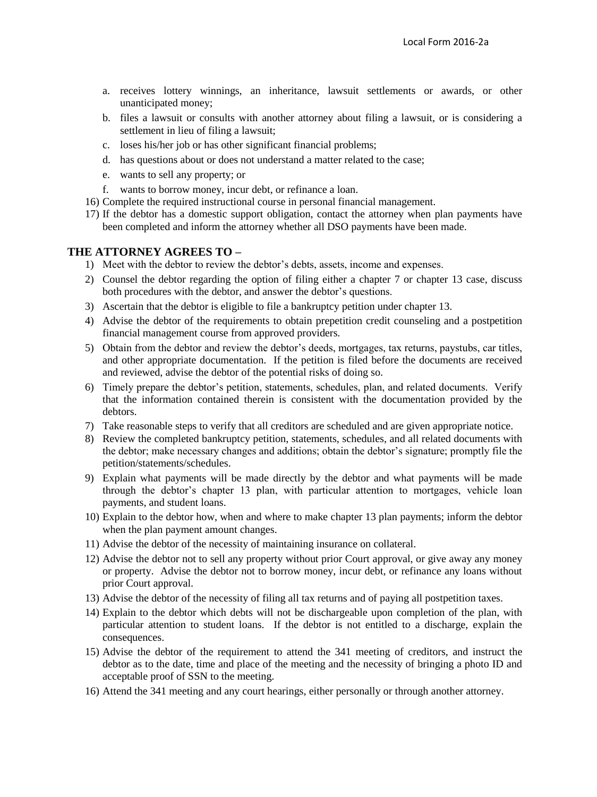- a. receives lottery winnings, an inheritance, lawsuit settlements or awards, or other unanticipated money;
- b. files a lawsuit or consults with another attorney about filing a lawsuit, or is considering a settlement in lieu of filing a lawsuit;
- c. loses his/her job or has other significant financial problems;
- d. has questions about or does not understand a matter related to the case;
- e. wants to sell any property; or
- f. wants to borrow money, incur debt, or refinance a loan.
- 16) Complete the required instructional course in personal financial management.
- 17) If the debtor has a domestic support obligation, contact the attorney when plan payments have been completed and inform the attorney whether all DSO payments have been made.

### **THE ATTORNEY AGREES TO –**

- 1) Meet with the debtor to review the debtor's debts, assets, income and expenses.
- 2) Counsel the debtor regarding the option of filing either a chapter 7 or chapter 13 case, discuss both procedures with the debtor, and answer the debtor's questions.
- 3) Ascertain that the debtor is eligible to file a bankruptcy petition under chapter 13.
- 4) Advise the debtor of the requirements to obtain prepetition credit counseling and a postpetition financial management course from approved providers.
- 5) Obtain from the debtor and review the debtor's deeds, mortgages, tax returns, paystubs, car titles, and other appropriate documentation. If the petition is filed before the documents are received and reviewed, advise the debtor of the potential risks of doing so.
- 6) Timely prepare the debtor's petition, statements, schedules, plan, and related documents. Verify that the information contained therein is consistent with the documentation provided by the debtors.
- 7) Take reasonable steps to verify that all creditors are scheduled and are given appropriate notice.
- 8) Review the completed bankruptcy petition, statements, schedules, and all related documents with the debtor; make necessary changes and additions; obtain the debtor's signature; promptly file the petition/statements/schedules.
- 9) Explain what payments will be made directly by the debtor and what payments will be made through the debtor's chapter 13 plan, with particular attention to mortgages, vehicle loan payments, and student loans.
- 10) Explain to the debtor how, when and where to make chapter 13 plan payments; inform the debtor when the plan payment amount changes.
- 11) Advise the debtor of the necessity of maintaining insurance on collateral.
- 12) Advise the debtor not to sell any property without prior Court approval, or give away any money or property. Advise the debtor not to borrow money, incur debt, or refinance any loans without prior Court approval.
- 13) Advise the debtor of the necessity of filing all tax returns and of paying all postpetition taxes.
- 14) Explain to the debtor which debts will not be dischargeable upon completion of the plan, with particular attention to student loans. If the debtor is not entitled to a discharge, explain the consequences.
- 15) Advise the debtor of the requirement to attend the 341 meeting of creditors, and instruct the debtor as to the date, time and place of the meeting and the necessity of bringing a photo ID and acceptable proof of SSN to the meeting.
- 16) Attend the 341 meeting and any court hearings, either personally or through another attorney.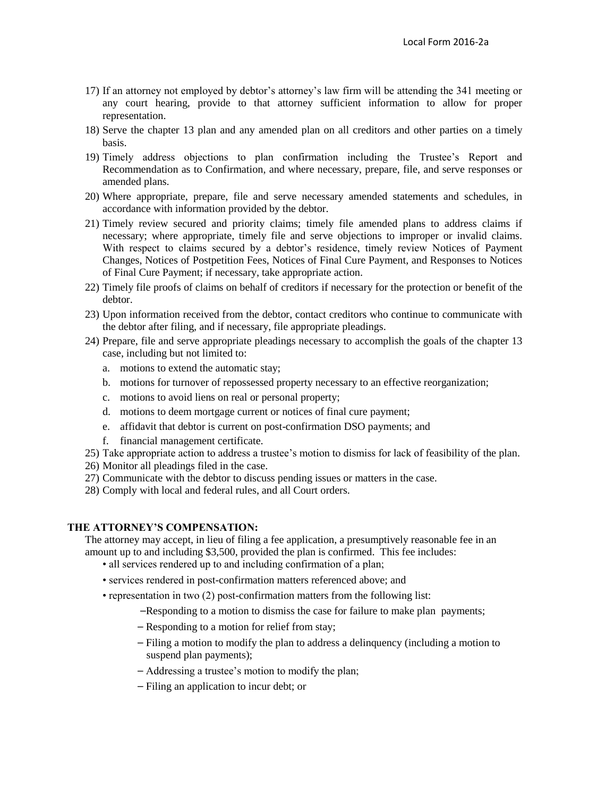- 17) If an attorney not employed by debtor's attorney's law firm will be attending the 341 meeting or any court hearing, provide to that attorney sufficient information to allow for proper representation.
- 18) Serve the chapter 13 plan and any amended plan on all creditors and other parties on a timely basis.
- 19) Timely address objections to plan confirmation including the Trustee's Report and Recommendation as to Confirmation, and where necessary, prepare, file, and serve responses or amended plans.
- 20) Where appropriate, prepare, file and serve necessary amended statements and schedules, in accordance with information provided by the debtor.
- 21) Timely review secured and priority claims; timely file amended plans to address claims if necessary; where appropriate, timely file and serve objections to improper or invalid claims. With respect to claims secured by a debtor's residence, timely review Notices of Payment Changes, Notices of Postpetition Fees, Notices of Final Cure Payment, and Responses to Notices of Final Cure Payment; if necessary, take appropriate action.
- 22) Timely file proofs of claims on behalf of creditors if necessary for the protection or benefit of the debtor.
- 23) Upon information received from the debtor, contact creditors who continue to communicate with the debtor after filing, and if necessary, file appropriate pleadings.
- 24) Prepare, file and serve appropriate pleadings necessary to accomplish the goals of the chapter 13 case, including but not limited to:
	- a. motions to extend the automatic stay;
	- b. motions for turnover of repossessed property necessary to an effective reorganization;
	- c. motions to avoid liens on real or personal property;
	- d. motions to deem mortgage current or notices of final cure payment;
	- e. affidavit that debtor is current on post-confirmation DSO payments; and
	- f. financial management certificate.
- 25) Take appropriate action to address a trustee's motion to dismiss for lack of feasibility of the plan.
- 26) Monitor all pleadings filed in the case.
- 27) Communicate with the debtor to discuss pending issues or matters in the case.
- 28) Comply with local and federal rules, and all Court orders.

#### **THE ATTORNEY'S COMPENSATION:**

The attorney may accept, in lieu of filing a fee application, a presumptively reasonable fee in an amount up to and including \$3,500, provided the plan is confirmed. This fee includes:

- all services rendered up to and including confirmation of a plan;
- services rendered in post-confirmation matters referenced above; and
- representation in two (2) post-confirmation matters from the following list:
	- -Responding to a motion to dismiss the case for failure to make plan payments;
	- Responding to a motion for relief from stay;
	- ⎯ Filing a motion to modify the plan to address a delinquency (including a motion to suspend plan payments);
	- ⎯ Addressing a trustee's motion to modify the plan;
	- ⎯ Filing an application to incur debt; or